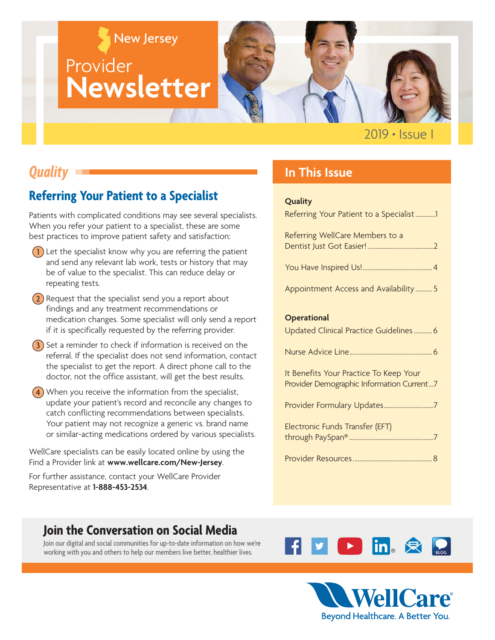# New Jersey **Provider Newsletter**

2019 **•** Issue I

# *Quality*

### **Referring Your Patient to a Specialist**

Patients with complicated conditions may see several specialists. When you refer your patient to a specialist, these are some best practices to improve patient safety and satisfaction:

- $(1)$  Let the specialist know why you are referring the patient and send any relevant lab work, tests or history that may be of value to the specialist. This can reduce delay or repeating tests.
- $(2)$  Request that the specialist send you a report about findings and any treatment recommendations or medication changes. Some specialist will only send a report if it is specifically requested by the referring provider.
- $\left(3\right)$  Set a reminder to check if information is received on the referral. If the specialist does not send information, contact the specialist to get the report. A direct phone call to the doctor, not the office assistant, will get the best results.
- $(4)$  When you receive the information from the specialist, update your patient's record and reconcile any changes to catch conflicting recommendations between specialists. Your patient may not recognize a generic vs. brand name or similar-acting medications ordered by various specialists.

WellCare specialists can be easily located online by using the Find a Provider link at **www.wellcare.com/New-Jersey**.

For further assistance, contact your WellCare Provider Representative at **1-888-453-2534**.

### **In This Issue**

#### **Quality**

| Referring Your Patient to a Specialist1                                             |
|-------------------------------------------------------------------------------------|
| Referring WellCare Members to a                                                     |
|                                                                                     |
| Appointment Access and Availability  5                                              |
| <b>Operational</b>                                                                  |
| Updated Clinical Practice Guidelines 6                                              |
|                                                                                     |
|                                                                                     |
| It Benefits Your Practice To Keep Your<br>Provider Demographic Information Current7 |
| Provider Formulary Updates7                                                         |
| Electronic Funds Transfer (EFT)                                                     |



Join our digital and social communities for up-to-date information on how we're working with you and others to help our members live better, healthier lives.



**EXPERIENCE**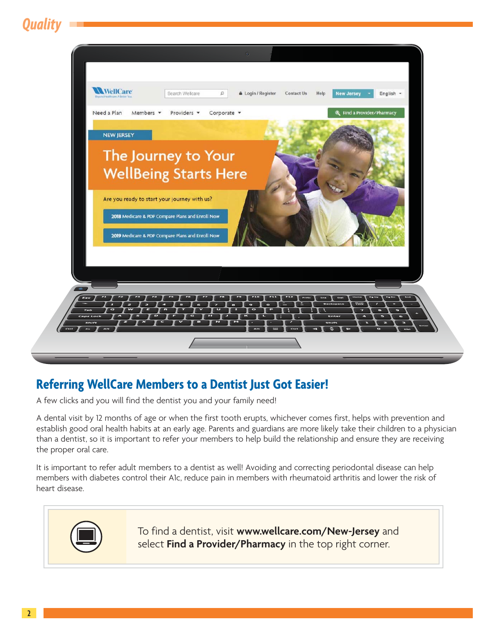<span id="page-1-0"></span>*Quality*



### **Referring WellCare Members to a Dentist Just Got Easier!**

A few clicks and you will find the dentist you and your family need!

A dental visit by 12 months of age or when the first tooth erupts, whichever comes first, helps with prevention and establish good oral health habits at an early age. Parents and guardians are more likely take their children to a physician than a dentist, so it is important to refer your members to help build the relationship and ensure they are receiving the proper oral care.

It is important to refer adult members to a dentist as well! Avoiding and correcting periodontal disease can help members with diabetes control their A1c, reduce pain in members with rheumatoid arthritis and lower the risk of heart disease.



To find a dentist, visit **www.wellcare.com/New-Jersey** and select **Find a Provider/Pharmacy** in the top right corner.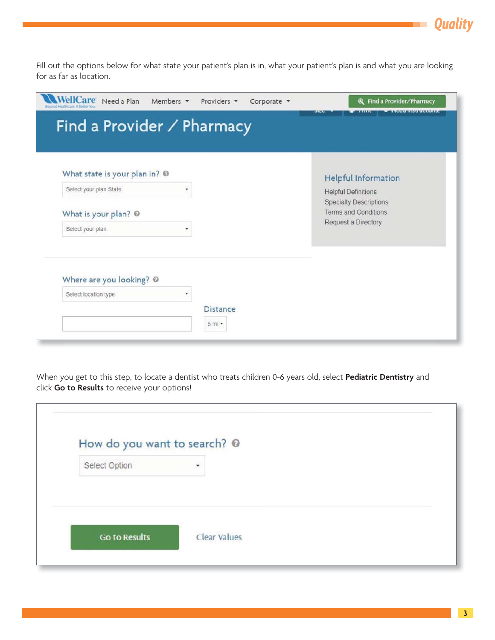Fill out the options below for what state your patient's plan is in, what your patient's plan is and what you are looking for as far as location.

| What state is your plan in? @                      |                            | <b>Helpful Information</b>                                   |
|----------------------------------------------------|----------------------------|--------------------------------------------------------------|
| Select your plan State<br>$\overline{\phantom{a}}$ | <b>Helpful Definitions</b> |                                                              |
| What is your plan? @                               |                            | <b>Specialty Descriptions</b><br><b>Terms and Conditions</b> |
| Select your plan<br>۰                              |                            | Request a Directory                                          |
|                                                    |                            |                                                              |
| Where are you looking? @                           |                            |                                                              |
|                                                    |                            |                                                              |

When you get to this step, to locate a dentist who treats children 0-6 years old, select **Pediatric Dentistry** and click **Go to Results** to receive your options!

| How do you want to search? @ |              |  |
|------------------------------|--------------|--|
| Select Option                | $\ddot{}$    |  |
|                              |              |  |
|                              | Clear Values |  |

*Quality*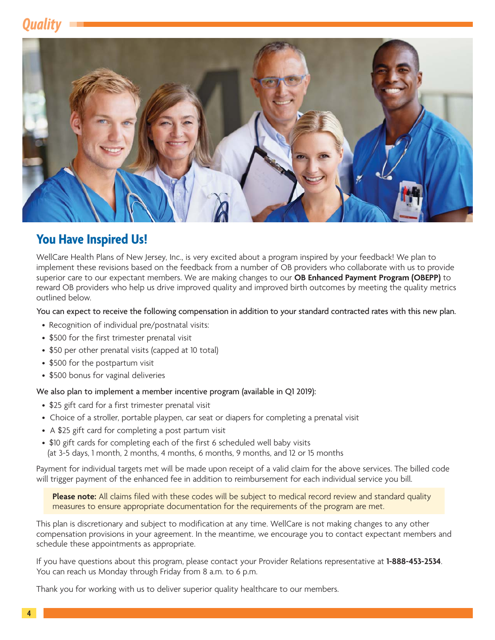# *Quality*

<span id="page-3-0"></span>

### **You Have Inspired Us!**

WellCare Health Plans of New Jersey, Inc., is very excited about a program inspired by your feedback! We plan to implement these revisions based on the feedback from a number of OB providers who collaborate with us to provide superior care to our expectant members. We are making changes to our **OB Enhanced Payment Program (OBEPP)** to reward OB providers who help us drive improved quality and improved birth outcomes by meeting the quality metrics outlined below.

You can expect to receive the following compensation in addition to your standard contracted rates with this new plan.

- Recognition of individual pre/postnatal visits:
- \$500 for the first trimester prenatal visit
- \$50 per other prenatal visits (capped at 10 total)
- \$500 for the postpartum visit
- \$500 bonus for vaginal deliveries

#### We also plan to implement a member incentive program (available in Q1 2019):

- \$25 gift card for a first trimester prenatal visit
- Choice of a stroller, portable playpen, car seat or diapers for completing a prenatal visit
- A \$25 gift card for completing a post partum visit
- \$10 gift cards for completing each of the first 6 scheduled well baby visits (at 3-5 days, 1 month, 2 months, 4 months, 6 months, 9 months, and 12 or 15 months

Payment for individual targets met will be made upon receipt of a valid claim for the above services. The billed code will trigger payment of the enhanced fee in addition to reimbursement for each individual service you bill.

**Please note:** All claims filed with these codes will be subject to medical record review and standard quality measures to ensure appropriate documentation for the requirements of the program are met.

This plan is discretionary and subject to modification at any time. WellCare is not making changes to any other compensation provisions in your agreement. In the meantime, we encourage you to contact expectant members and schedule these appointments as appropriate.

If you have questions about this program, please contact your Provider Relations representative at **1-888-453-2534**. You can reach us Monday through Friday from 8 a.m. to 6 p.m.

Thank you for working with us to deliver superior quality healthcare to our members.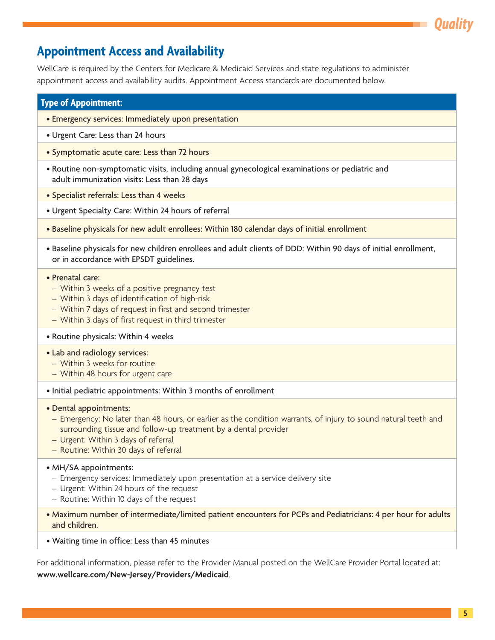### <span id="page-4-0"></span>**Appointment Access and Availability**

WellCare is required by the Centers for Medicare & Medicaid Services and state regulations to administer appointment access and availability audits. Appointment Access standards are documented below.

#### **Type of Appointment:**

- Emergency services: Immediately upon presentation
- Urgent Care: Less than 24 hours
- Symptomatic acute care: Less than 72 hours
- Routine non-symptomatic visits, including annual gynecological examinations or pediatric and adult immunization visits: Less than 28 days
- Specialist referrals: Less than 4 weeks
- Urgent Specialty Care: Within 24 hours of referral
- Baseline physicals for new adult enrollees: Within 180 calendar days of initial enrollment
- Baseline physicals for new children enrollees and adult clients of DDD: Within 90 days of initial enrollment, or in accordance with EPSDT guidelines.

#### • Prenatal care:

- Within 3 weeks of a positive pregnancy test
- Within 3 days of identification of high-risk
- Within 7 days of request in first and second trimester
- Within 3 days of first request in third trimester

#### • Routine physicals: Within 4 weeks

#### • Lab and radiology services:

- Within 3 weeks for routine
- Within 48 hours for urgent care
- Initial pediatric appointments: Within 3 months of enrollment

#### • Dental appointments:

- Emergency: No later than 48 hours, or earlier as the condition warrants, of injury to sound natural teeth and surrounding tissue and follow-up treatment by a dental provider
- Urgent: Within 3 days of referral
- Routine: Within 30 days of referral

#### • MH/SA appointments:

- Emergency services: Immediately upon presentation at a service delivery site
- Urgent: Within 24 hours of the request
- Routine: Within 10 days of the request
- Maximum number of intermediate/limited patient encounters for PCPs and Pediatricians: 4 per hour for adults and children.
- Waiting time in office: Less than 45 minutes

For additional information, please refer to the Provider Manual posted on the WellCare Provider Portal located at: **www.wellcare.com/New-Jersey/Providers/Medicaid**.

*Quality*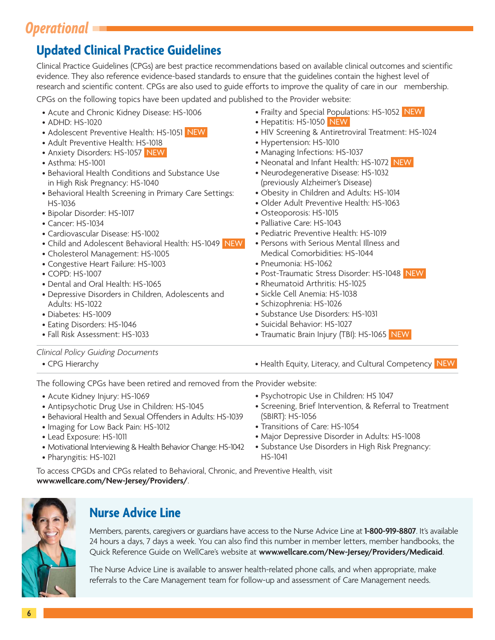# <span id="page-5-0"></span>*Operational*

### **Updated Clinical Practice Guidelines**

Clinical Practice Guidelines (CPGs) are best practice recommendations based on available clinical outcomes and scientific evidence. They also reference evidence-based standards to ensure that the guidelines contain the highest level of research and scientific content. CPGs are also used to guide efforts to improve the quality of care in our membership.

CPGs on the following topics have been updated and published to the Provider website:

- Acute and Chronic Kidney Disease: HS-1006
- ADHD: HS-1020
- Adolescent Preventive Health: HS-1051 NEW
- Adult Preventive Health: HS-1018
- Anxiety Disorders: HS-1057 NEW
- Asthma: HS-1001
- Behavioral Health Conditions and Substance Use in High Risk Pregnancy: HS-1040
- Behavioral Health Screening in Primary Care Settings: HS-1036
- Bipolar Disorder: HS-1017
- Cancer: HS-1034
- Cardiovascular Disease: HS-1002
- Child and Adolescent Behavioral Health: HS-1049 NEW
- Cholesterol Management: HS-1005
- Congestive Heart Failure: HS-1003
- COPD: HS-1007
- Dental and Oral Health: HS-1065
- Depressive Disorders in Children, Adolescents and Adults: HS-1022
- Diabetes: HS-1009
- Eating Disorders: HS-1046
- Fall Risk Assessment: HS-1033
- Frailty and Special Populations: HS-1052 NEW
- Hepatitis: HS-1050 NEW
- HIV Screening & Antiretroviral Treatment: HS-1024
- Hypertension: HS-1010
- Managing Infections: HS-1037
- Neonatal and Infant Health: HS-1072 NEW
- Neurodegenerative Disease: HS-1032 (previously Alzheimer's Disease)
- Obesity in Children and Adults: HS-1014
- Older Adult Preventive Health: HS-1063
- Osteoporosis: HS-1015
- Palliative Care: HS-1043
- Pediatric Preventive Health: HS-1019
- Persons with Serious Mental Illness and Medical Comorbidities: HS-1044
- Pneumonia: HS-1062
- Post-Traumatic Stress Disorder: HS-1048 NEW
- Rheumatoid Arthritis: HS-1025
- Sickle Cell Anemia: HS-1038
- Schizophrenia: HS-1026
- Substance Use Disorders: HS-1031
- Suicidal Behavior: HS-1027
- Traumatic Brain Injury (TBI): HS-1065 NEW

#### *Clinical Policy Guiding Documents*

- 
- CPG Hierarchy  **Health Equity, Literacy, and Cultural Competency** NEW

The following CPGs have been retired and removed from the Provider website:

- Acute Kidney Injury: HS-1069
- Antipsychotic Drug Use in Children: HS-1045
- Behavioral Health and Sexual Offenders in Adults: HS-1039
- Imaging for Low Back Pain: HS-1012
- Lead Exposure: HS-1011
- Motivational Interviewing & Health Behavior Change: HS-1042
- Pharyngitis: HS-1021
- Psychotropic Use in Children: HS 1047
- Screening, Brief Intervention, & Referral to Treatment (SBIRT): HS-1056
- Transitions of Care: HS-1054
- Major Depressive Disorder in Adults: HS-1008
- Substance Use Disorders in High Risk Pregnancy: HS-1041

To access CPGDs and CPGs related to Behavioral, Chronic, and Preventive Health, visit **www.wellcare.com/New-Jersey/Providers/**.



### **Nurse Advice Line**

Members, parents, caregivers or guardians have access to the Nurse Advice Line at **1-800-919-8807**. It's available 24 hours a days, 7 days a week. You can also find this number in member letters, member handbooks, the Quick Reference Guide on WellCare's website at **[www.wellcare.com/New-Jersey/Providers/Medicaid](www.wellcare.com/New-Jersey/Providers/Medicaid.)**.

The Nurse Advice Line is available to answer health-related phone calls, and when appropriate, make referrals to the Care Management team for follow-up and assessment of Care Management needs.

- 
- 
-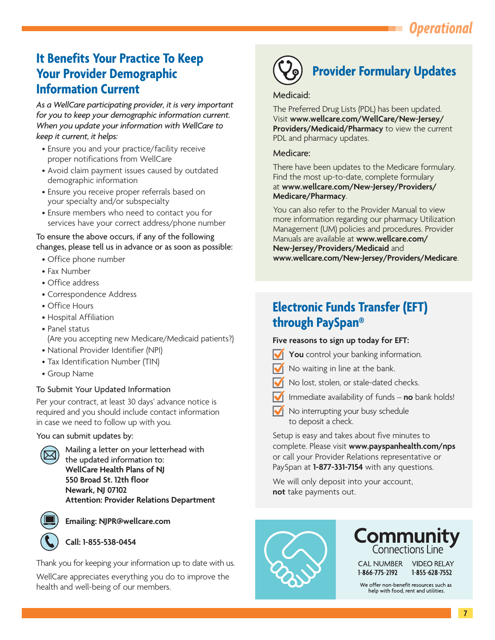# *Operational*

### <span id="page-6-0"></span>**It Benefits Your Practice To Keep Your Provider Demographic Information Current**

*As a WellCare participating provider, it is very important for you to keep your demographic information current. When you update your information with WellCare to keep it current, it helps:* 

- Ensure you and your practice/facility receive proper notifications from WellCare
- Avoid claim payment issues caused by outdated demographic information
- Ensure you receive proper referrals based on your specialty and/or subspecialty
- Ensure members who need to contact you for services have your correct address/phone number

To ensure the above occurs, if any of the following changes, please tell us in advance or as soon as possible:

- Office phone number
- Fax Number
- Office address
- Correspondence Address
- Office Hours
- Hospital Affiliation
- ( Are you accepting new Medicare/Medicaid patients?) • Panel status
- National Provider Identifier (NPI)
- Tax Identification Number (TIN)
- Group Name

#### To Submit Your Updated Information

Per your contract, at least 30 days' advance notice is required and you should include contact information in case we need to follow up with you.

You can submit updates by:



 Mailing a letter on your letterhead with the updated information to: **WellCare Health Plans of NJ 550 Broad St. 12th floor Newark, NJ 07102 Attention: Provider Relations Department**



**Emailing: NJPR@wellcare.com**

#### **Call: 1-855-538-0454**

Thank you for keeping your information up to date with us.

WellCare appreciates everything you do to improve the health and well-being of our members.



# **Provider Formulary Updates**

#### Medicaid:

The Preferred Drug Lists (PDL) has been updated. Visit **<www.wellcare.com/WellCare/New-Jersey/> Providers/Medicaid/Pharmacy** to view the current PDL and pharmacy updates.

#### Medicare:

There have been updates to the Medicare formulary. Find the most up-to-date, complete formulary at **<www.wellcare.com/New-Jersey/Providers/> Medicare/Pharmacy**.

You can also refer to the Provider Manual to view more information regarding our pharmacy Utilization Management (UM) policies and procedures. Provider Manuals are available at **<www.wellcare.com/> New-Jersey/Providers/Medicaid** and **[www.wellcare.com/New-Jersey/Providers/Medicare](www.wellcare.com/New-Jersey/Providers/Medicare.)**.

### **Electronic Funds Transfer (EFT) through PaySpan®**

#### **Five reasons to sign up today for EFT:**

- **You** control your banking information.
- No waiting in line at the bank.
- - No lost, stolen, or stale-dated checks.
- Immediate availability of funds **no** bank holds!
- $\sqrt{\phantom{a}}$  No interrupting your busy schedule to deposit a check.

Setup is easy and takes about five minutes to complete. Please visit **<www.payspanhealth.com/nps>** or call your Provider Relations representative or PaySpan at **1-877-331-7154** with any questions.

We will only deposit into your account, **not** take payments out.





We offer non-benefit resources such as help with food, rent and utilities.